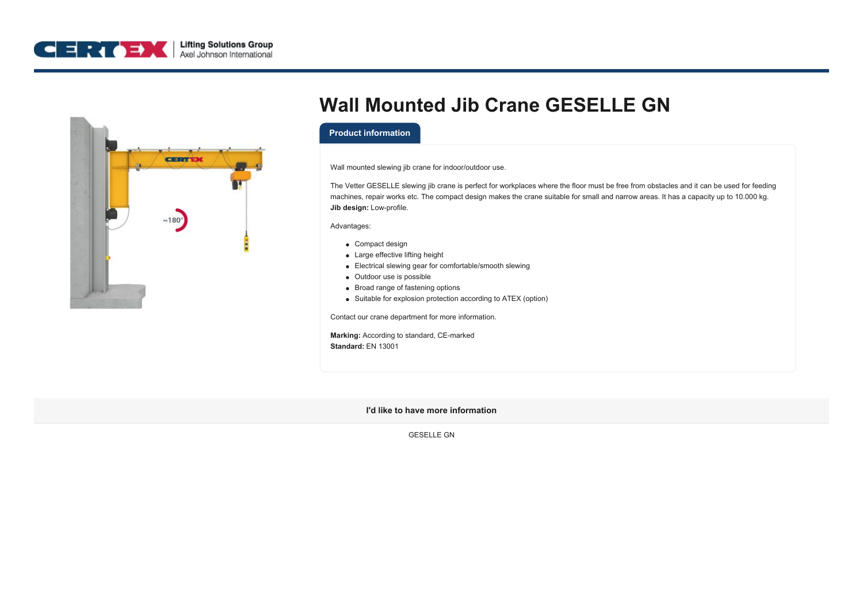



## **Wall Mounted Jib Crane GESELLE GN**

## **Product information**

Wall mounted slewing jib crane for indoor/outdoor use.

The Vetter GESELLE slewing jib crane is perfect for workplaces where the floor must be free from obstacles and it can be used for feeding machines, repair works etc. The compact design makes the crane suitable for small and narrow areas. It has a capacity up to 10.000 kg. **Jib design:** Low-profile.

Advantages:

- Compact design
- Large effective lifting height
- Electrical slewing gear for comfortable/smooth slewing
- Outdoor use is possible
- Broad range of fastening options
- Suitable for explosion protection according to ATEX (option)

Contact our crane department for more information.

**Marking:** According to standard, CE-marked **Standard:** EN 13001

**I'd like to have more information**

GESELLE GN